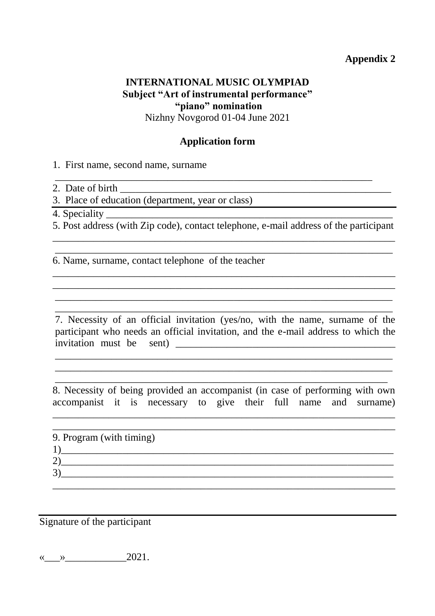#### **INTERNATIONAL MUSIC OLYMPIAD Subject "Art of instrumental performance" "piano" nomination** Nizhny Novgorod 01-04 June 2021

## **Application form**

\_\_\_\_\_\_\_\_\_\_\_\_\_\_\_\_\_\_\_\_\_\_\_\_\_\_\_\_\_\_\_\_\_\_\_\_\_\_\_\_\_\_\_\_\_\_\_\_\_\_\_\_\_\_\_\_\_\_\_\_\_\_

1. First name, second name, surname

2. Date of birth

3. Place of education (department, year or class)

4. Speciality

5. Post address (with Zip code), contact telephone, e-mail address of the participant \_\_\_\_\_\_\_\_\_\_\_\_\_\_\_\_\_\_\_\_\_\_\_\_\_\_\_\_\_\_\_\_\_\_\_\_\_\_\_\_\_\_\_\_\_\_\_\_\_\_\_\_\_\_\_\_\_\_\_\_\_\_\_\_\_\_\_

\_\_\_\_\_\_\_\_\_\_\_\_\_\_\_\_\_\_\_\_\_\_\_\_\_\_\_\_\_\_\_\_\_\_\_\_\_\_\_\_\_\_\_\_\_\_\_\_\_\_\_\_\_\_\_\_\_\_\_\_\_\_\_\_\_\_

\_\_\_\_\_\_\_\_\_\_\_\_\_\_\_\_\_\_\_\_\_\_\_\_\_\_\_\_\_\_\_\_\_\_\_\_\_\_\_\_\_\_\_\_\_\_\_\_\_\_\_\_\_\_\_\_\_\_\_\_\_\_\_\_\_\_\_ \_\_\_\_\_\_\_\_\_\_\_\_\_\_\_\_\_\_\_\_\_\_\_\_\_\_\_\_\_\_\_\_\_\_\_\_\_\_\_\_\_\_\_\_\_\_\_\_\_\_\_\_\_\_\_\_\_\_\_\_\_\_\_\_\_\_\_ \_\_\_\_\_\_\_\_\_\_\_\_\_\_\_\_\_\_\_\_\_\_\_\_\_\_\_\_\_\_\_\_\_\_\_\_\_\_\_\_\_\_\_\_\_\_\_\_\_\_\_\_\_\_\_\_\_\_\_\_\_\_\_\_\_\_ \_\_\_\_\_\_\_\_\_\_\_\_\_\_\_\_\_\_\_\_\_\_\_\_\_\_\_\_\_\_\_\_\_\_\_\_\_\_\_\_\_\_\_\_\_\_\_\_\_\_\_\_\_\_\_\_\_\_\_\_\_\_\_\_\_\_

6. Name, surname, contact telephone of the teacher

7. Necessity of an official invitation (yes/no, with the name, surname of the participant who needs an official invitation, and the e-mail address to which the invitation must be sent) \_\_\_\_\_\_\_\_\_\_\_\_\_\_\_\_\_\_\_\_\_\_\_\_\_\_\_\_\_\_\_\_\_\_\_\_\_\_\_\_\_\_\_

\_\_\_\_\_\_\_\_\_\_\_\_\_\_\_\_\_\_\_\_\_\_\_\_\_\_\_\_\_\_\_\_\_\_\_\_\_\_\_\_\_\_\_\_\_\_\_\_\_\_\_\_\_\_\_\_\_\_\_\_\_\_\_\_\_\_ \_\_\_\_\_\_\_\_\_\_\_\_\_\_\_\_\_\_\_\_\_\_\_\_\_\_\_\_\_\_\_\_\_\_\_\_\_\_\_\_\_\_\_\_\_\_\_\_\_\_\_\_\_\_\_\_\_\_\_\_\_\_\_\_\_\_ \_\_\_\_\_\_\_\_\_\_\_\_\_\_\_\_\_\_\_\_\_\_\_\_\_\_\_\_\_\_\_\_\_\_\_\_\_\_\_\_\_\_\_\_\_\_\_\_\_\_\_\_\_\_\_\_\_\_\_\_\_\_\_\_\_

8. Necessity of being provided an accompanist (in case of performing with own accompanist it is necessary to give their full name and surname)

\_\_\_\_\_\_\_\_\_\_\_\_\_\_\_\_\_\_\_\_\_\_\_\_\_\_\_\_\_\_\_\_\_\_\_\_\_\_\_\_\_\_\_\_\_\_\_\_\_\_\_\_\_\_\_\_\_\_\_\_\_\_\_\_\_\_\_

| 9. Program (with timing) |  |  |
|--------------------------|--|--|
|                          |  |  |
|                          |  |  |
|                          |  |  |

Signature of the participant

 $\left\langle \left\langle \right\rangle \right\rangle$  2021.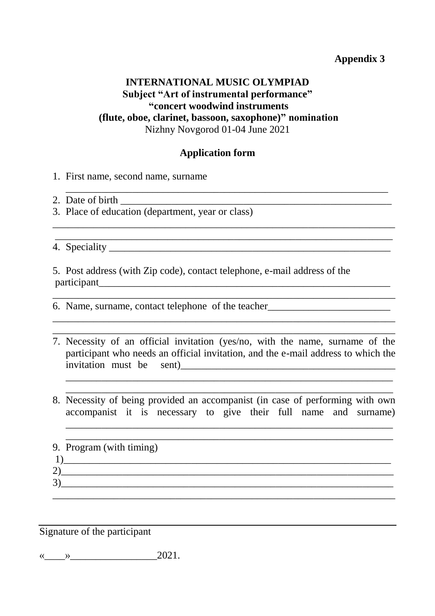## **INTERNATIONAL MUSIC OLYMPIAD Subject "Art of instrumental performance" "concert woodwind instruments (flute, oboe, clarinet, bassoon, saxophone)" nomination** Nizhny Novgorod 01-04 June 2021

#### **Application form**

\_\_\_\_\_\_\_\_\_\_\_\_\_\_\_\_\_\_\_\_\_\_\_\_\_\_\_\_\_\_\_\_\_\_\_\_\_\_\_\_\_\_\_\_\_\_\_\_\_\_\_\_\_\_\_\_\_\_\_\_\_\_\_\_\_\_\_

\_\_\_\_\_\_\_\_\_\_\_\_\_\_\_\_\_\_\_\_\_\_\_\_\_\_\_\_\_\_\_\_\_\_\_\_\_\_\_\_\_\_\_\_\_\_\_\_\_\_\_\_\_\_\_\_\_\_\_\_\_\_\_

 $\mathcal{L}_\mathcal{L} = \mathcal{L}_\mathcal{L} = \mathcal{L}_\mathcal{L} = \mathcal{L}_\mathcal{L} = \mathcal{L}_\mathcal{L} = \mathcal{L}_\mathcal{L} = \mathcal{L}_\mathcal{L} = \mathcal{L}_\mathcal{L} = \mathcal{L}_\mathcal{L} = \mathcal{L}_\mathcal{L} = \mathcal{L}_\mathcal{L} = \mathcal{L}_\mathcal{L} = \mathcal{L}_\mathcal{L} = \mathcal{L}_\mathcal{L} = \mathcal{L}_\mathcal{L} = \mathcal{L}_\mathcal{L} = \mathcal{L}_\mathcal{L}$ 

1. First name, second name, surname

2. Date of birth \_\_\_\_\_\_\_\_\_\_\_\_\_\_\_\_\_\_\_\_\_\_\_\_\_\_\_\_\_\_\_\_\_\_\_\_\_\_\_\_\_\_\_\_\_\_\_\_\_\_\_\_\_

3. Place of education (department, year or class)

4. Speciality \_\_\_\_\_\_\_\_\_\_\_\_\_\_\_\_\_\_\_\_\_\_\_\_\_\_\_\_\_\_\_\_\_\_\_\_\_\_\_\_\_\_\_\_\_\_\_\_\_\_\_\_\_\_\_

5. Post address (with Zip code), contact telephone, e-mail address of the participant\_\_\_\_\_\_\_\_\_\_\_\_\_\_\_\_\_\_\_\_\_\_\_\_\_\_\_\_\_\_\_\_\_\_\_\_\_\_\_\_\_\_\_\_\_\_\_\_\_\_\_\_\_\_\_\_\_

6. Name, surname, contact telephone of the teacher\_\_\_\_\_\_\_\_\_\_\_\_\_\_\_\_\_\_\_\_\_\_\_\_\_\_\_\_\_\_\_

7. Necessity of an official invitation (yes/no, with the name, surname of the participant who needs an official invitation, and the e-mail address to which the invitation must be sent)\_\_\_\_\_\_\_\_\_\_\_\_\_\_\_\_\_\_\_\_\_\_\_\_\_\_\_\_\_\_\_\_\_\_\_\_\_\_\_\_\_\_

\_\_\_\_\_\_\_\_\_\_\_\_\_\_\_\_\_\_\_\_\_\_\_\_\_\_\_\_\_\_\_\_\_\_\_\_\_\_\_\_\_\_\_\_\_\_\_\_\_\_\_\_\_\_\_\_\_\_\_\_\_\_\_\_ \_\_\_\_\_\_\_\_\_\_\_\_\_\_\_\_\_\_\_\_\_\_\_\_\_\_\_\_\_\_\_\_\_\_\_\_\_\_\_\_\_\_\_\_\_\_\_\_\_\_\_\_\_\_\_\_\_\_\_\_\_\_\_\_

\_\_\_\_\_\_\_\_\_\_\_\_\_\_\_\_\_\_\_\_\_\_\_\_\_\_\_\_\_\_\_\_\_\_\_\_\_\_\_\_\_\_\_\_\_\_\_\_\_\_\_\_\_\_\_\_\_\_\_\_\_\_\_\_\_\_\_

\_\_\_\_\_\_\_\_\_\_\_\_\_\_\_\_\_\_\_\_\_\_\_\_\_\_\_\_\_\_\_\_\_\_\_\_\_\_\_\_\_\_\_\_\_\_\_\_\_\_\_\_\_\_\_\_\_\_\_\_\_\_\_\_\_\_\_ \_\_\_\_\_\_\_\_\_\_\_\_\_\_\_\_\_\_\_\_\_\_\_\_\_\_\_\_\_\_\_\_\_\_\_\_\_\_\_\_\_\_\_\_\_\_\_\_\_\_\_\_\_\_\_\_\_\_\_\_\_\_\_\_\_\_\_

8. Necessity of being provided an accompanist (in case of performing with own accompanist it is necessary to give their full name and surname)

\_\_\_\_\_\_\_\_\_\_\_\_\_\_\_\_\_\_\_\_\_\_\_\_\_\_\_\_\_\_\_\_\_\_\_\_\_\_\_\_\_\_\_\_\_\_\_\_\_\_\_\_\_\_\_\_\_\_\_\_\_\_\_\_

\_\_\_\_\_\_\_\_\_\_\_\_\_\_\_\_\_\_\_\_\_\_\_\_\_\_\_\_\_\_\_\_\_\_\_\_\_\_\_\_\_\_\_\_\_\_\_\_\_\_\_\_\_\_\_\_\_\_\_\_\_\_\_\_ 9. Program (with timing) 1)\_\_\_\_\_\_\_\_\_\_\_\_\_\_\_\_\_\_\_\_\_\_\_\_\_\_\_\_\_\_\_\_\_\_\_\_\_\_\_\_\_\_\_\_\_\_\_\_\_\_\_\_\_\_\_\_\_\_\_\_\_\_\_\_ 2)\_\_\_\_\_\_\_\_\_\_\_\_\_\_\_\_\_\_\_\_\_\_\_\_\_\_\_\_\_\_\_\_\_\_\_\_\_\_\_\_\_\_\_\_\_\_\_\_\_\_\_\_\_\_\_\_\_\_\_\_\_\_\_\_\_  $3)$ \_\_\_\_\_\_\_\_\_\_\_\_\_\_\_\_\_\_\_\_\_\_\_\_\_\_\_\_\_\_\_\_\_\_\_\_\_\_\_\_\_\_\_\_\_\_\_\_\_\_\_\_\_\_\_\_\_\_\_\_\_\_\_\_\_\_\_

Signature of the participant

 $\langle \langle \rangle \rangle$  2021.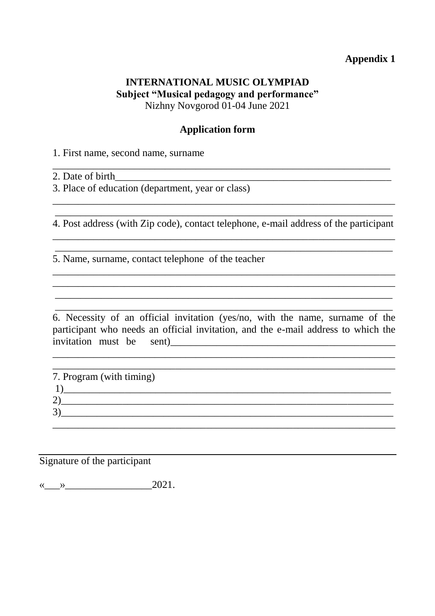#### **INTERNATIONAL MUSIC OLYMPIAD Subject "Musical pedagogy and performance"** Nizhny Novgorod 01-04 June 2021

#### **Application form**

1. First name, second name, surname

2. Date of birth

3. Place of education (department, year or class)

\_\_\_\_\_\_\_\_\_\_\_\_\_\_\_\_\_\_\_\_\_\_\_\_\_\_\_\_\_\_\_\_\_\_\_\_\_\_\_\_\_\_\_\_\_\_\_\_\_\_\_\_\_\_\_\_\_\_\_\_\_\_\_\_\_\_ 4. Post address (with Zip code), contact telephone, e-mail address of the participant \_\_\_\_\_\_\_\_\_\_\_\_\_\_\_\_\_\_\_\_\_\_\_\_\_\_\_\_\_\_\_\_\_\_\_\_\_\_\_\_\_\_\_\_\_\_\_\_\_\_\_\_\_\_\_\_\_\_\_\_\_\_\_\_\_\_\_

\_\_\_\_\_\_\_\_\_\_\_\_\_\_\_\_\_\_\_\_\_\_\_\_\_\_\_\_\_\_\_\_\_\_\_\_\_\_\_\_\_\_\_\_\_\_\_\_\_\_\_\_\_\_\_\_\_\_\_\_\_\_\_\_\_\_

\_\_\_\_\_\_\_\_\_\_\_\_\_\_\_\_\_\_\_\_\_\_\_\_\_\_\_\_\_\_\_\_\_\_\_\_\_\_\_\_\_\_\_\_\_\_\_\_\_\_\_\_\_\_\_\_\_\_\_\_\_\_\_\_\_\_\_ \_\_\_\_\_\_\_\_\_\_\_\_\_\_\_\_\_\_\_\_\_\_\_\_\_\_\_\_\_\_\_\_\_\_\_\_\_\_\_\_\_\_\_\_\_\_\_\_\_\_\_\_\_\_\_\_\_\_\_\_\_\_\_\_\_\_\_ \_\_\_\_\_\_\_\_\_\_\_\_\_\_\_\_\_\_\_\_\_\_\_\_\_\_\_\_\_\_\_\_\_\_\_\_\_\_\_\_\_\_\_\_\_\_\_\_\_\_\_\_\_\_\_\_\_\_\_\_\_\_\_\_\_\_ \_\_\_\_\_\_\_\_\_\_\_\_\_\_\_\_\_\_\_\_\_\_\_\_\_\_\_\_\_\_\_\_\_\_\_\_\_\_\_\_\_\_\_\_\_\_\_\_\_\_\_\_\_\_\_\_\_\_\_\_\_\_\_\_\_\_

\_\_\_\_\_\_\_\_\_\_\_\_\_\_\_\_\_\_\_\_\_\_\_\_\_\_\_\_\_\_\_\_\_\_\_\_\_\_\_\_\_\_\_\_\_\_\_\_\_\_\_\_\_\_\_\_\_\_\_\_\_\_\_\_\_\_\_

\_\_\_\_\_\_\_\_\_\_\_\_\_\_\_\_\_\_\_\_\_\_\_\_\_\_\_\_\_\_\_\_\_\_\_\_\_\_\_\_\_\_\_\_\_\_\_\_\_\_\_\_\_\_\_\_\_\_\_\_\_\_\_\_\_\_

5. Name, surname, contact telephone of the teacher

6. Necessity of an official invitation (yes/no, with the name, surname of the participant who needs an official invitation, and the e-mail address to which the invitation must be sent)\_\_\_\_\_\_\_\_\_\_\_\_\_\_\_\_\_\_\_\_\_\_\_\_\_\_\_\_\_\_\_\_\_\_\_\_\_\_\_\_\_\_\_\_

\_\_\_\_\_\_\_\_\_\_\_\_\_\_\_\_\_\_\_\_\_\_\_\_\_\_\_\_\_\_\_\_\_\_\_\_\_\_\_\_\_\_\_\_\_\_\_\_\_\_\_\_\_\_\_\_\_\_\_\_\_\_\_\_\_\_\_

| 7. Program (with timing)      |  |  |
|-------------------------------|--|--|
|                               |  |  |
|                               |  |  |
| 2<br>$\overline{\phantom{0}}$ |  |  |

#### Signature of the participant

 $\langle \langle \rangle \rangle$  2021.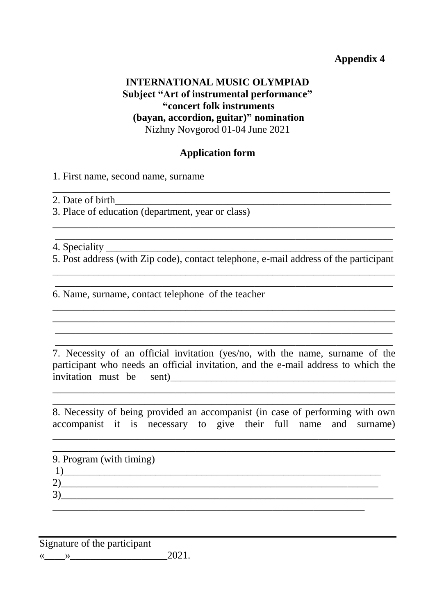## **INTERNATIONAL MUSIC OLYMPIAD Subject "Art of instrumental performance" "concert folk instruments (bayan, accordion, guitar)" nomination** Nizhny Novgorod 01-04 June 2021

#### **Application form**

\_\_\_\_\_\_\_\_\_\_\_\_\_\_\_\_\_\_\_\_\_\_\_\_\_\_\_\_\_\_\_\_\_\_\_\_\_\_\_\_\_\_\_\_\_\_\_\_\_\_\_\_\_\_\_\_\_\_\_\_\_\_\_\_\_\_

1. First name, second name, surname

2. Date of birth

3. Place of education (department, year or class)

4. Speciality \_\_\_\_\_\_\_\_\_\_\_\_\_\_\_\_\_\_\_\_\_\_\_\_\_\_\_\_\_\_\_\_\_\_\_\_\_\_\_\_\_\_\_\_\_\_\_\_\_\_\_\_\_\_\_\_

5. Post address (with Zip code), contact telephone, e-mail address of the participant \_\_\_\_\_\_\_\_\_\_\_\_\_\_\_\_\_\_\_\_\_\_\_\_\_\_\_\_\_\_\_\_\_\_\_\_\_\_\_\_\_\_\_\_\_\_\_\_\_\_\_\_\_\_\_\_\_\_\_\_\_\_\_\_\_\_\_

\_\_\_\_\_\_\_\_\_\_\_\_\_\_\_\_\_\_\_\_\_\_\_\_\_\_\_\_\_\_\_\_\_\_\_\_\_\_\_\_\_\_\_\_\_\_\_\_\_\_\_\_\_\_\_\_\_\_\_\_\_\_\_\_\_\_

\_\_\_\_\_\_\_\_\_\_\_\_\_\_\_\_\_\_\_\_\_\_\_\_\_\_\_\_\_\_\_\_\_\_\_\_\_\_\_\_\_\_\_\_\_\_\_\_\_\_\_\_\_\_\_\_\_\_\_\_\_\_\_\_\_\_\_ \_\_\_\_\_\_\_\_\_\_\_\_\_\_\_\_\_\_\_\_\_\_\_\_\_\_\_\_\_\_\_\_\_\_\_\_\_\_\_\_\_\_\_\_\_\_\_\_\_\_\_\_\_\_\_\_\_\_\_\_\_\_\_\_\_\_\_ \_\_\_\_\_\_\_\_\_\_\_\_\_\_\_\_\_\_\_\_\_\_\_\_\_\_\_\_\_\_\_\_\_\_\_\_\_\_\_\_\_\_\_\_\_\_\_\_\_\_\_\_\_\_\_\_\_\_\_\_\_\_\_\_\_\_ \_\_\_\_\_\_\_\_\_\_\_\_\_\_\_\_\_\_\_\_\_\_\_\_\_\_\_\_\_\_\_\_\_\_\_\_\_\_\_\_\_\_\_\_\_\_\_\_\_\_\_\_\_\_\_\_\_\_\_\_\_\_\_\_\_\_

\_\_\_\_\_\_\_\_\_\_\_\_\_\_\_\_\_\_\_\_\_\_\_\_\_\_\_\_\_\_\_\_\_\_\_\_\_\_\_\_\_\_\_\_\_\_\_\_\_\_\_\_\_\_\_\_\_\_\_\_\_\_\_\_\_\_\_ \_\_\_\_\_\_\_\_\_\_\_\_\_\_\_\_\_\_\_\_\_\_\_\_\_\_\_\_\_\_\_\_\_\_\_\_\_\_\_\_\_\_\_\_\_\_\_\_\_\_\_\_\_\_\_\_\_\_\_\_\_\_\_\_\_\_

6. Name, surname, contact telephone of the teacher

7. Necessity of an official invitation (yes/no, with the name, surname of the participant who needs an official invitation, and the e-mail address to which the invitation must be sent)

\_\_\_\_\_\_\_\_\_\_\_\_\_\_\_\_\_\_\_\_\_\_\_\_\_\_\_\_\_\_\_\_\_\_\_\_\_\_\_\_\_\_\_\_\_\_\_\_\_\_\_\_\_\_\_\_\_\_\_\_\_\_\_\_\_\_\_ \_\_\_\_\_\_\_\_\_\_\_\_\_\_\_\_\_\_\_\_\_\_\_\_\_\_\_\_\_\_\_\_\_\_\_\_\_\_\_\_\_\_\_\_\_\_\_\_\_\_\_\_\_\_\_\_\_\_\_\_\_\_\_\_\_\_\_

8. Necessity of being provided an accompanist (in case of performing with own accompanist it is necessary to give their full name and surname)

\_\_\_\_\_\_\_\_\_\_\_\_\_\_\_\_\_\_\_\_\_\_\_\_\_\_\_\_\_\_\_\_\_\_\_\_\_\_\_\_\_\_\_\_\_\_\_\_\_\_\_\_\_\_\_\_\_\_\_\_\_\_\_\_\_\_\_

| 9. Program (with timing) |  |  |
|--------------------------|--|--|
|                          |  |  |
|                          |  |  |
|                          |  |  |

Signature of the participant «\_\_\_\_»\_\_\_\_\_\_\_\_\_\_\_\_\_\_\_\_\_\_\_2021.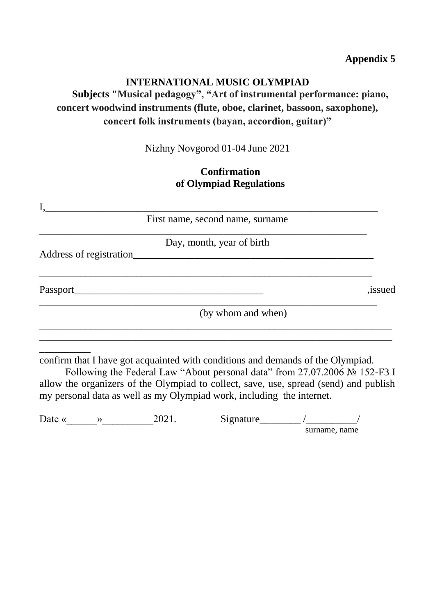#### **INTERNATIONAL MUSIC OLYMPIAD**

# **Subjects "Musical pedagogy", "Art of instrumental performance: piano, concert woodwind instruments (flute, oboe, clarinet, bassoon, saxophone), concert folk instruments (bayan, accordion, guitar)"**

Nizhny Novgorod 01-04 June 2021

#### **Confirmation of Olympiad Regulations**

| .issued |
|---------|
|         |
|         |
|         |

Following the Federal Law "About personal data" from 27.07.2006 № 152-F3 I allow the organizers of the Olympiad to collect, save, use, spread (send) and publish my personal data as well as my Olympiad work, including the internet.

| ∽<br>Date « | רחי | Signature |               |
|-------------|-----|-----------|---------------|
|             |     |           | surname, name |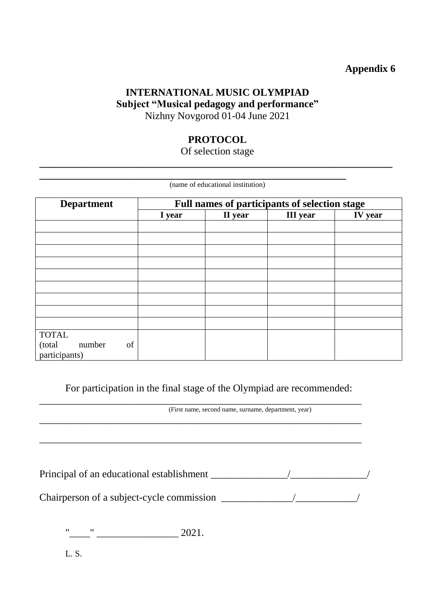#### **INTERNATIONAL MUSIC OLYMPIAD Subject "Musical pedagogy and performance"** Nizhny Novgorod 01-04 June 2021

#### **PROTOCOL**

#### Of selection stage **\_\_\_\_\_\_\_\_\_\_\_\_\_\_\_\_\_\_\_\_\_\_\_\_\_\_\_\_\_\_\_\_\_\_\_\_\_\_\_\_\_\_\_\_\_\_\_\_\_\_\_\_\_\_\_\_\_\_\_\_\_\_\_\_\_\_\_\_\_**

**\_\_\_\_\_\_\_\_\_\_\_\_\_\_\_\_\_\_\_\_\_\_\_\_\_\_\_\_\_\_\_\_\_\_\_\_\_\_\_\_\_\_\_\_\_\_\_\_\_\_\_\_\_\_\_\_\_\_\_\_**

|                                        |                                               | (name of educational institution) |                 |                |  |
|----------------------------------------|-----------------------------------------------|-----------------------------------|-----------------|----------------|--|
| <b>Department</b>                      | Full names of participants of selection stage |                                   |                 |                |  |
|                                        | I year                                        | II year                           | <b>III</b> year | <b>IV</b> year |  |
|                                        |                                               |                                   |                 |                |  |
|                                        |                                               |                                   |                 |                |  |
|                                        |                                               |                                   |                 |                |  |
|                                        |                                               |                                   |                 |                |  |
|                                        |                                               |                                   |                 |                |  |
|                                        |                                               |                                   |                 |                |  |
|                                        |                                               |                                   |                 |                |  |
|                                        |                                               |                                   |                 |                |  |
|                                        |                                               |                                   |                 |                |  |
| <b>TOTAL</b><br>of<br>(total<br>number |                                               |                                   |                 |                |  |
| participants)                          |                                               |                                   |                 |                |  |

For participation in the final stage of the Olympiad are recommended:

\_\_\_\_\_\_\_\_\_\_\_\_\_\_\_\_\_\_\_\_\_\_\_\_\_\_\_\_\_\_\_\_\_\_\_\_\_\_\_\_\_\_\_\_\_\_\_\_\_\_\_\_\_\_\_\_\_\_\_\_\_\_\_

\_\_\_\_\_\_\_\_\_\_\_\_\_\_\_\_\_\_\_\_\_\_\_\_\_\_\_\_\_\_\_\_\_\_\_\_\_\_\_\_\_\_\_\_\_\_\_\_\_\_\_\_\_\_\_\_\_\_\_\_\_\_\_

(First name, second name, surname, department, year) \_\_\_\_\_\_\_\_\_\_\_\_\_\_\_\_\_\_\_\_\_\_\_\_\_\_\_\_\_\_\_\_\_\_\_\_\_\_\_\_\_\_\_\_\_\_\_\_\_\_\_\_\_\_\_\_\_\_\_\_\_\_\_

Principal of an educational establishment \_\_\_\_\_\_\_\_\_\_\_\_\_\_\_/\_\_\_\_\_\_\_\_\_\_\_\_\_\_\_/

Chairperson of a subject-cycle commission \_\_\_\_\_\_\_\_\_\_\_\_\_\_/\_\_\_\_\_\_\_\_\_\_\_\_/

"\_\_\_\_" \_\_\_\_\_\_\_\_\_\_\_\_\_\_\_\_ 2021.

L. S.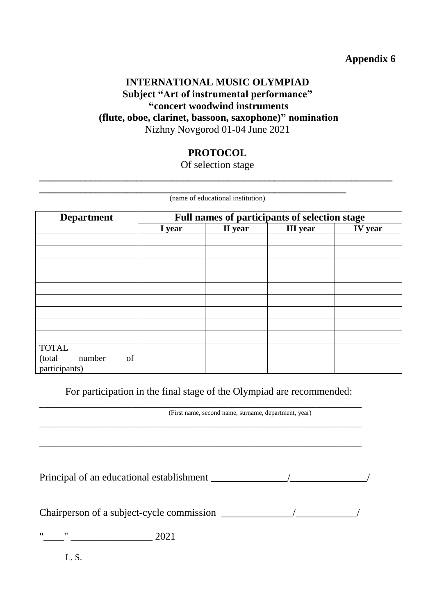## **INTERNATIONAL MUSIC OLYMPIAD Subject "Art of instrumental performance" "concert woodwind instruments (flute, oboe, clarinet, bassoon, saxophone)" nomination** Nizhny Novgorod 01-04 June 2021

## **PROTOCOL**

Of selection stage **\_\_\_\_\_\_\_\_\_\_\_\_\_\_\_\_\_\_\_\_\_\_\_\_\_\_\_\_\_\_\_\_\_\_\_\_\_\_\_\_\_\_\_\_\_\_\_\_\_\_\_\_\_\_\_\_\_\_\_\_\_\_\_\_\_\_\_\_\_**

|                                                         |        | (name of educational institution) |                                               |                |
|---------------------------------------------------------|--------|-----------------------------------|-----------------------------------------------|----------------|
| <b>Department</b>                                       |        |                                   | Full names of participants of selection stage |                |
|                                                         | I year | II year                           | <b>III</b> year                               | <b>IV</b> year |
|                                                         |        |                                   |                                               |                |
|                                                         |        |                                   |                                               |                |
|                                                         |        |                                   |                                               |                |
|                                                         |        |                                   |                                               |                |
|                                                         |        |                                   |                                               |                |
|                                                         |        |                                   |                                               |                |
|                                                         |        |                                   |                                               |                |
|                                                         |        |                                   |                                               |                |
|                                                         |        |                                   |                                               |                |
| <b>TOTAL</b><br>of<br>(total<br>number<br>participants) |        |                                   |                                               |                |

For participation in the final stage of the Olympiad are recommended:

\_\_\_\_\_\_\_\_\_\_\_\_\_\_\_\_\_\_\_\_\_\_\_\_\_\_\_\_\_\_\_\_\_\_\_\_\_\_\_\_\_\_\_\_\_\_\_\_\_\_\_\_\_\_\_\_\_\_\_\_\_\_\_

\_\_\_\_\_\_\_\_\_\_\_\_\_\_\_\_\_\_\_\_\_\_\_\_\_\_\_\_\_\_\_\_\_\_\_\_\_\_\_\_\_\_\_\_\_\_\_\_\_\_\_\_\_\_\_\_\_\_\_\_\_\_\_

\_\_\_\_\_\_\_\_\_\_\_\_\_\_\_\_\_\_\_\_\_\_\_\_\_\_\_\_\_\_\_\_\_\_\_\_\_\_\_\_\_\_\_\_\_\_\_\_\_\_\_\_\_\_\_\_\_\_\_\_\_\_\_ (First name, second name, surname, department, year)

Principal of an educational establishment  $\frac{1}{2}$  /

Chairperson of a subject-cycle commission \_\_\_\_\_\_\_\_\_\_\_\_\_\_/\_\_\_\_\_\_\_\_\_\_\_\_/

 $\frac{1}{2021}$ 

L. S.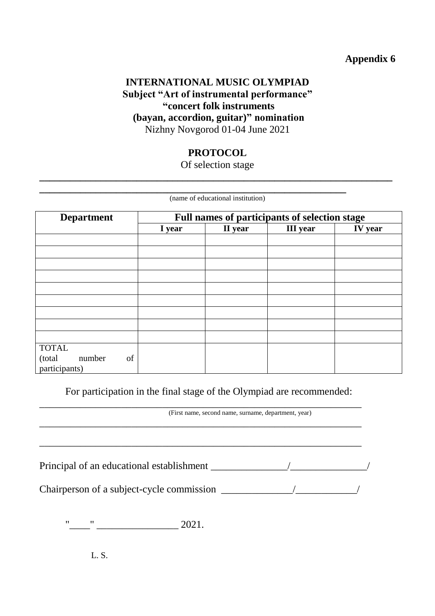## **INTERNATIONAL MUSIC OLYMPIAD Subject "Art of instrumental performance" "concert folk instruments (bayan, accordion, guitar)" nomination** Nizhny Novgorod 01-04 June 2021

## **PROTOCOL**

Of selection stage **\_\_\_\_\_\_\_\_\_\_\_\_\_\_\_\_\_\_\_\_\_\_\_\_\_\_\_\_\_\_\_\_\_\_\_\_\_\_\_\_\_\_\_\_\_\_\_\_\_\_\_\_\_\_\_\_\_\_\_\_\_\_\_\_\_\_\_\_\_**

(name of educational institution)

**\_\_\_\_\_\_\_\_\_\_\_\_\_\_\_\_\_\_\_\_\_\_\_\_\_\_\_\_\_\_\_\_\_\_\_\_\_\_\_\_\_\_\_\_\_\_\_\_\_\_\_\_\_\_\_\_\_\_\_\_**

| <b>Department</b>                       | Full names of participants of selection stage |         |                 |         |
|-----------------------------------------|-----------------------------------------------|---------|-----------------|---------|
|                                         | I year                                        | II year | <b>III</b> year | IV year |
|                                         |                                               |         |                 |         |
|                                         |                                               |         |                 |         |
|                                         |                                               |         |                 |         |
|                                         |                                               |         |                 |         |
|                                         |                                               |         |                 |         |
|                                         |                                               |         |                 |         |
|                                         |                                               |         |                 |         |
|                                         |                                               |         |                 |         |
|                                         |                                               |         |                 |         |
| <b>TOTAL</b>                            |                                               |         |                 |         |
| (total<br>number<br>of<br>participants) |                                               |         |                 |         |

For participation in the final stage of the Olympiad are recommended:

\_\_\_\_\_\_\_\_\_\_\_\_\_\_\_\_\_\_\_\_\_\_\_\_\_\_\_\_\_\_\_\_\_\_\_\_\_\_\_\_\_\_\_\_\_\_\_\_\_\_\_\_\_\_\_\_\_\_\_\_\_\_\_

\_\_\_\_\_\_\_\_\_\_\_\_\_\_\_\_\_\_\_\_\_\_\_\_\_\_\_\_\_\_\_\_\_\_\_\_\_\_\_\_\_\_\_\_\_\_\_\_\_\_\_\_\_\_\_\_\_\_\_\_\_\_\_

\_\_\_\_\_\_\_\_\_\_\_\_\_\_\_\_\_\_\_\_\_\_\_\_\_\_\_\_\_\_\_\_\_\_\_\_\_\_\_\_\_\_\_\_\_\_\_\_\_\_\_\_\_\_\_\_\_\_\_\_\_\_\_

(First name, second name, surname, department, year)

Principal of an educational establishment \_\_\_\_\_\_\_\_\_\_\_\_\_\_\_/\_\_\_\_\_\_\_\_\_\_\_\_\_\_\_/

Chairperson of a subject-cycle commission \_\_\_\_\_\_\_\_\_\_\_\_\_\_/\_\_\_\_\_\_\_\_\_\_\_\_/

 $"$   $"$   $"$   $"$   $2021.$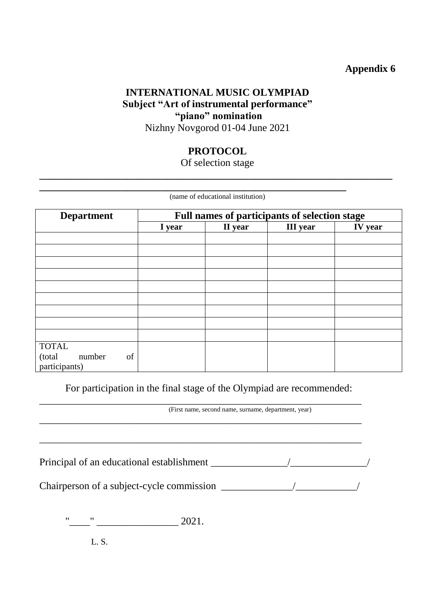## **INTERNATIONAL MUSIC OLYMPIAD Subject "Art of instrumental performance" "piano" nomination** Nizhny Novgorod 01-04 June 2021

## **PROTOCOL**

Of selection stage **\_\_\_\_\_\_\_\_\_\_\_\_\_\_\_\_\_\_\_\_\_\_\_\_\_\_\_\_\_\_\_\_\_\_\_\_\_\_\_\_\_\_\_\_\_\_\_\_\_\_\_\_\_\_\_\_\_\_\_\_\_\_\_\_\_\_\_\_\_**

|                                                         |        | (name of educational institution) |                                               |         |
|---------------------------------------------------------|--------|-----------------------------------|-----------------------------------------------|---------|
| <b>Department</b>                                       |        |                                   | Full names of participants of selection stage |         |
|                                                         | I year | II year                           | <b>III</b> year                               | IV year |
|                                                         |        |                                   |                                               |         |
|                                                         |        |                                   |                                               |         |
|                                                         |        |                                   |                                               |         |
|                                                         |        |                                   |                                               |         |
|                                                         |        |                                   |                                               |         |
|                                                         |        |                                   |                                               |         |
|                                                         |        |                                   |                                               |         |
|                                                         |        |                                   |                                               |         |
| <b>TOTAL</b><br>of<br>number<br>(total<br>participants) |        |                                   |                                               |         |

For participation in the final stage of the Olympiad are recommended:

\_\_\_\_\_\_\_\_\_\_\_\_\_\_\_\_\_\_\_\_\_\_\_\_\_\_\_\_\_\_\_\_\_\_\_\_\_\_\_\_\_\_\_\_\_\_\_\_\_\_\_\_\_\_\_\_\_\_\_\_\_\_\_

(First name, second name, surname, department, year) \_\_\_\_\_\_\_\_\_\_\_\_\_\_\_\_\_\_\_\_\_\_\_\_\_\_\_\_\_\_\_\_\_\_\_\_\_\_\_\_\_\_\_\_\_\_\_\_\_\_\_\_\_\_\_\_\_\_\_\_\_\_\_

Principal of an educational establishment \_\_\_\_\_\_\_\_\_\_\_\_\_\_\_/\_\_\_\_\_\_\_\_\_\_\_\_\_\_\_/

\_\_\_\_\_\_\_\_\_\_\_\_\_\_\_\_\_\_\_\_\_\_\_\_\_\_\_\_\_\_\_\_\_\_\_\_\_\_\_\_\_\_\_\_\_\_\_\_\_\_\_\_\_\_\_\_\_\_\_\_\_\_\_

Chairperson of a subject-cycle commission \_\_\_\_\_\_\_\_\_\_\_\_\_\_/\_\_\_\_\_\_\_\_\_\_\_\_/

"\_\_\_\_" \_\_\_\_\_\_\_\_\_\_\_\_\_\_\_\_ 2021.

L. S.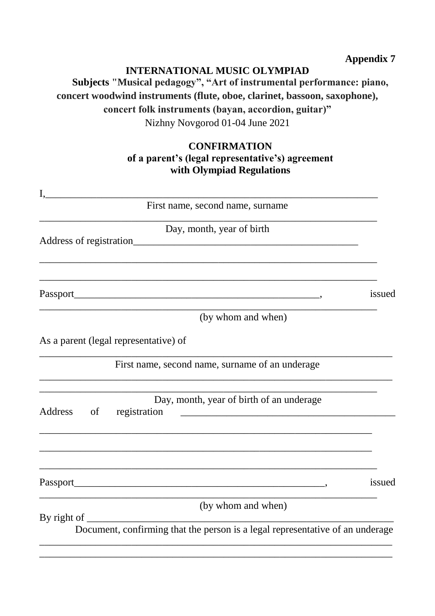#### **INTERNATIONAL MUSIC OLYMPIAD**

# **Subjects "Musical pedagogy", "Art of instrumental performance: piano, concert woodwind instruments (flute, oboe, clarinet, bassoon, saxophone), concert folk instruments (bayan, accordion, guitar)"** Nizhny Novgorod 01-04 June 2021

## **CONFIRMATION of a parent's (legal representative's) agreement with Olympiad Regulations**

| First name, second name, surname                                                                                                 |        |
|----------------------------------------------------------------------------------------------------------------------------------|--------|
| Day, month, year of birth                                                                                                        |        |
|                                                                                                                                  |        |
|                                                                                                                                  | issued |
| (by whom and when)                                                                                                               |        |
| As a parent (legal representative) of                                                                                            |        |
| First name, second name, surname of an underage                                                                                  |        |
| Day, month, year of birth of an underage<br>Address<br>of<br>registration<br><u> 1989 - Johann Barbara, martxa alemaniar arg</u> |        |
|                                                                                                                                  |        |
|                                                                                                                                  | issued |
| (by whom and when)<br>By right of $\overline{\phantom{a}}$                                                                       |        |
| Document, confirming that the person is a legal representative of an underage                                                    |        |